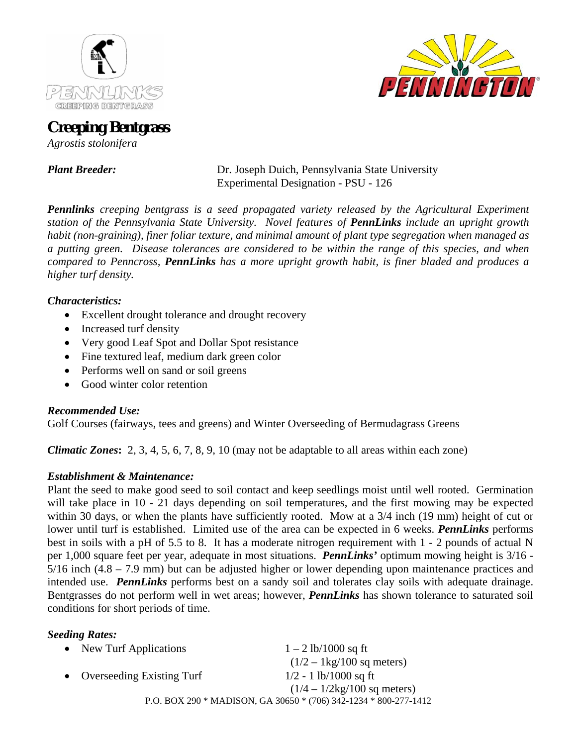



# **Creeping Bentgrass**

*Agrostis stolonifera* 

*Plant Breeder:* Dr. Joseph Duich, Pennsylvania State University Experimental Designation - PSU - 126

*Pennlinks creeping bentgrass is a seed propagated variety released by the Agricultural Experiment station of the Pennsylvania State University. Novel features of PennLinks include an upright growth habit (non-graining), finer foliar texture, and minimal amount of plant type segregation when managed as a putting green. Disease tolerances are considered to be within the range of this species, and when compared to Penncross, PennLinks has a more upright growth habit, is finer bladed and produces a higher turf density.* 

# *Characteristics:*

- Excellent drought tolerance and drought recovery
- Increased turf density
- Very good Leaf Spot and Dollar Spot resistance
- Fine textured leaf, medium dark green color
- Performs well on sand or soil greens
- Good winter color retention

## *Recommended Use:*

Golf Courses (fairways, tees and greens) and Winter Overseeding of Bermudagrass Greens

*Climatic Zones***:** 2, 3, 4, 5, 6, 7, 8, 9, 10 (may not be adaptable to all areas within each zone)

# *Establishment & Maintenance:*

Plant the seed to make good seed to soil contact and keep seedlings moist until well rooted. Germination will take place in 10 - 21 days depending on soil temperatures, and the first mowing may be expected within 30 days, or when the plants have sufficiently rooted. Mow at a  $3/4$  inch (19 mm) height of cut or lower until turf is established. Limited use of the area can be expected in 6 weeks. *PennLinks* performs best in soils with a pH of 5.5 to 8. It has a moderate nitrogen requirement with 1 - 2 pounds of actual N per 1,000 square feet per year, adequate in most situations. *PennLinks'* optimum mowing height is 3/16 - 5/16 inch (4.8 – 7.9 mm) but can be adjusted higher or lower depending upon maintenance practices and intended use. *PennLinks* performs best on a sandy soil and tolerates clay soils with adequate drainage. Bentgrasses do not perform well in wet areas; however, *PennLinks* has shown tolerance to saturated soil conditions for short periods of time.

## *Seeding Rates:*

| • New Turf Applications     | $1 - 2$ lb/1000 sq ft                                            |  |  |  |  |
|-----------------------------|------------------------------------------------------------------|--|--|--|--|
|                             | $(1/2 - 1 \text{kg}/100 \text{ sq meters})$                      |  |  |  |  |
| • Overseeding Existing Turf | $1/2 - 1$ lb/1000 sq ft                                          |  |  |  |  |
|                             | $(1/4 - 1/2kg/100$ sq meters)                                    |  |  |  |  |
|                             | P.O. BOX 290 * MADISON, GA 30650 * (706) 342-1234 * 800-277-1412 |  |  |  |  |